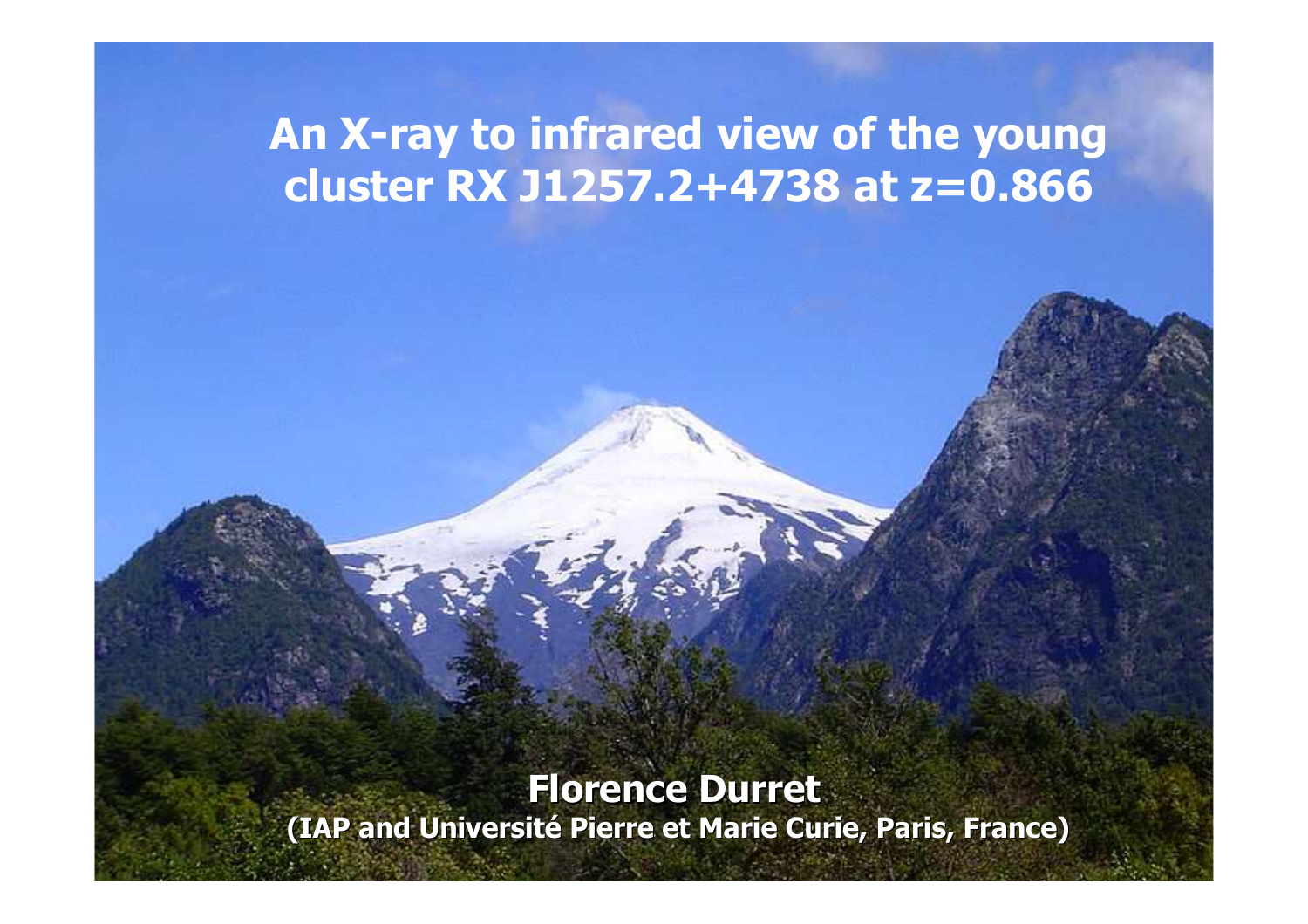#### An X-ray to infrared view of the young cluster RX J1257.2+4738 at z=0.866

#### Florence Durret

(IAP and Université Pierre et Marie Curie, Paris, France)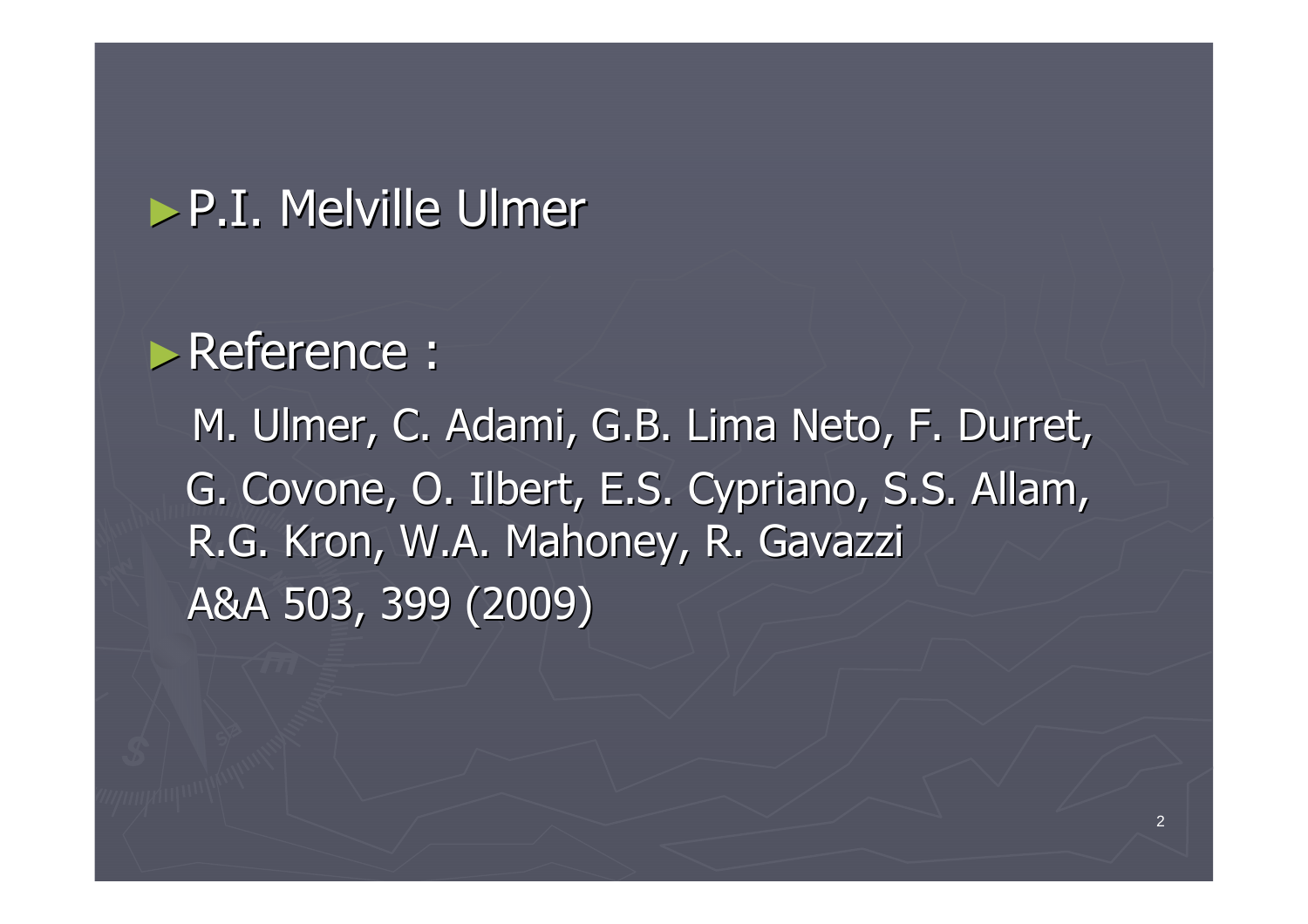#### ►P.I. Melville Ulmer

# ►Reference :

M. Ulmer, C. Adami, G.B. Lima Neto, F. Durret, G. Covone, O. Ilbert, E.S. Cypriano, S.S. Allam, R.G. Kron, W.A. Mahoney, R. GavazziA&A 503, 399 (2009)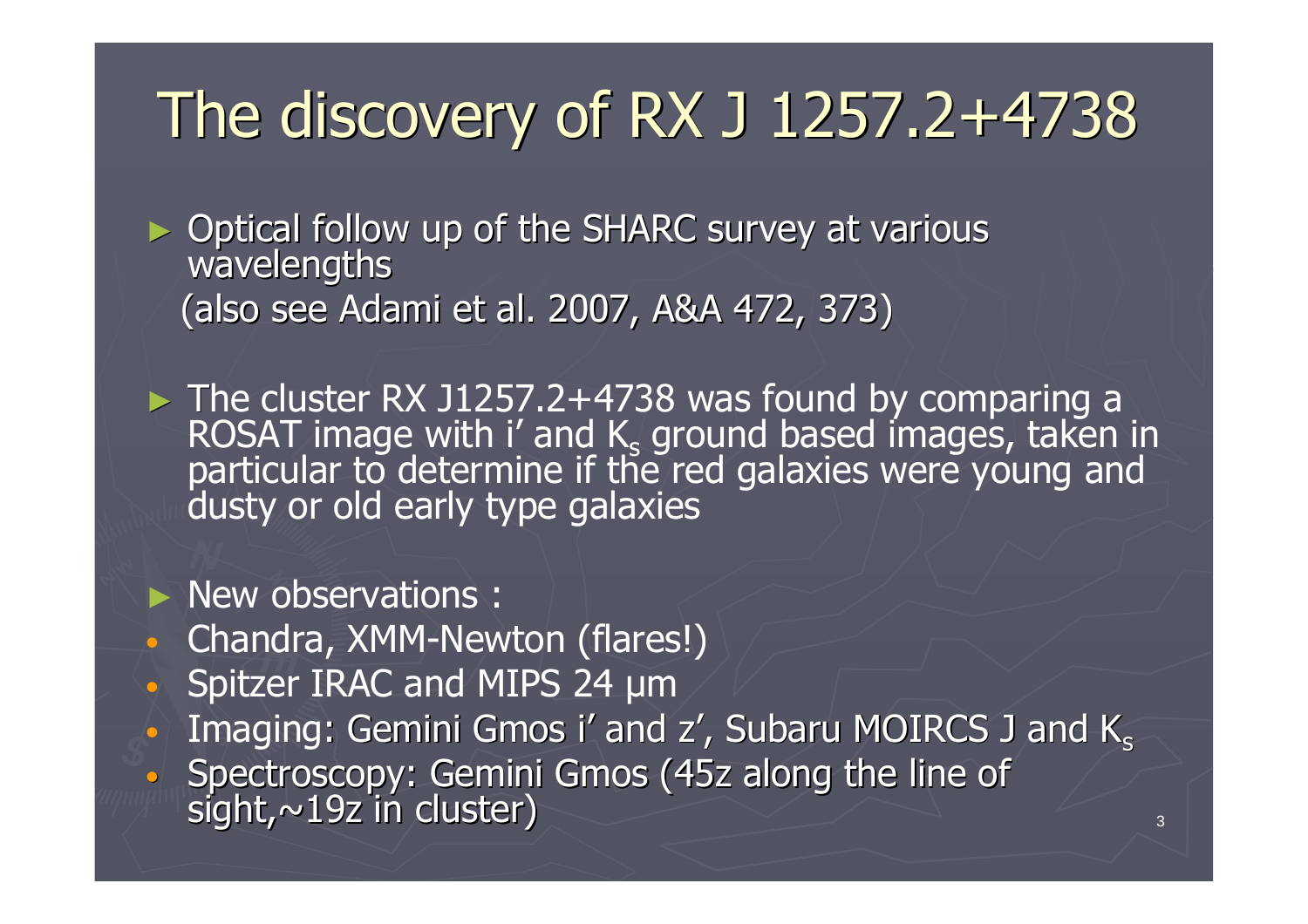# The discovery of RX J 1257.2+4738

► Optical follow up of the SHARC survey at various wavelengths(also see Adami et al. 2007, A&A 472, 373)

 $\triangleright$  The cluster RX J1257.2+4738 was found by comparing a<br>ROSAT image with i' and K<sub>s</sub> ground based images, taken in<br>particular to determine if the red galaxies were young and<br>dusty or old early type galaxies

► New observations :

- $\Box$ Chandra, XMM-Newton (flares!)
- $\mathbf C$ • Spitzer IRAC and MIPS 24 µm
- •Imaging: Gemini Gmos i' and  $z'$ , Subaru MOIRCS J and  $K_s$
- • $\bullet$  Spectroscopy: Gemini Gmos (45z along the line of sight,  $\sim$ 19z in cluster)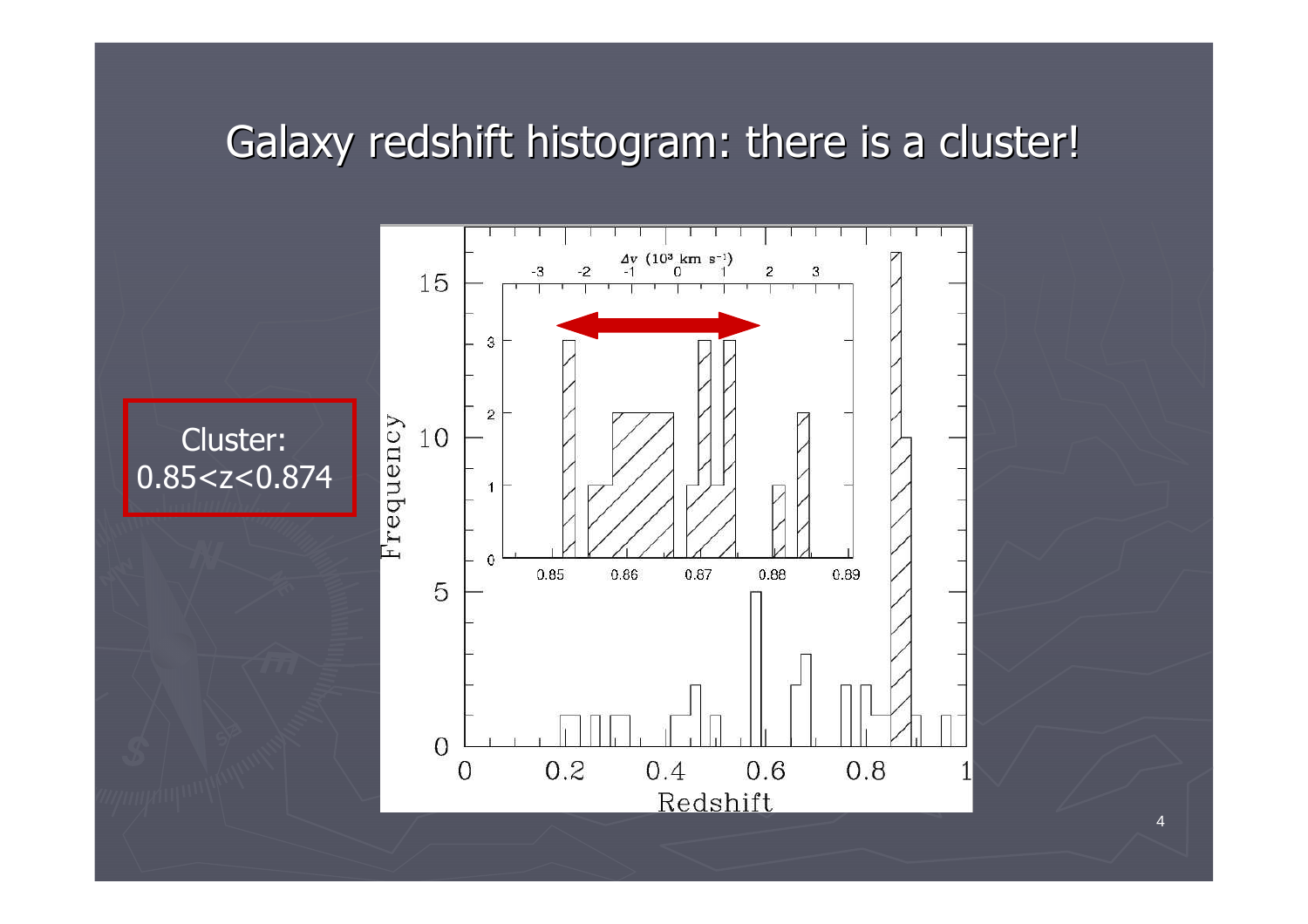### Galaxy redshift histogram: there is a cluster!



4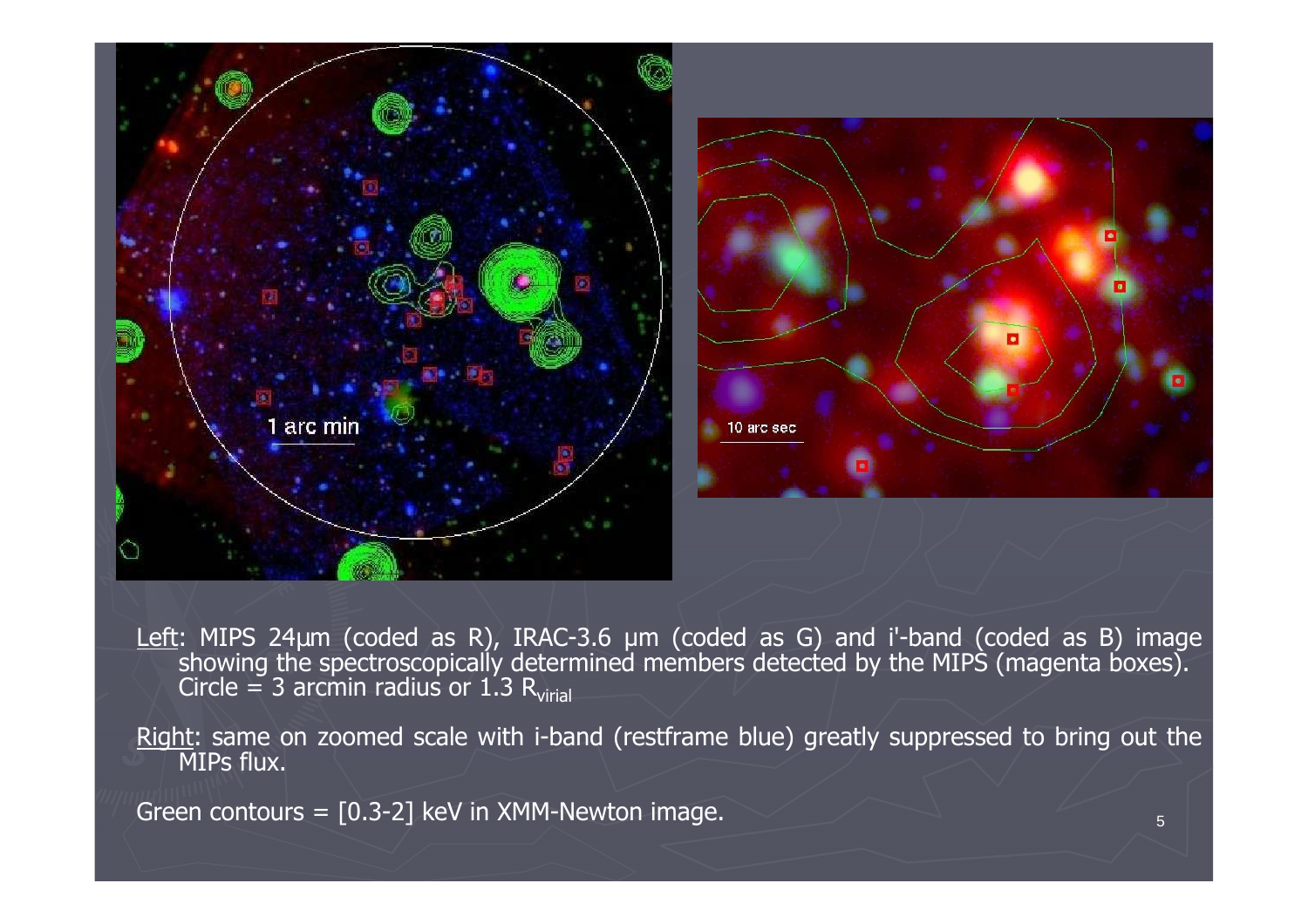

Left: MIPS 24µm (coded as R), IRAC-3.6 µm (coded as G) and i'-band (coded as B) image<br>showing the spectroscopically determined members detected by the MIPS (magenta boxes).<br>Circle = 3 arcmin radius or 1.3 Regian Circle = 3 arcmin radius or  $1.3 \text{ R}_{\rm virial}$ 

Right: same on zoomed scale with i-band (restframe blue) greatly suppressed to bring out the MIPs flux.

Green contours =  $[0.3-2]$  keV in XMM-Newton image.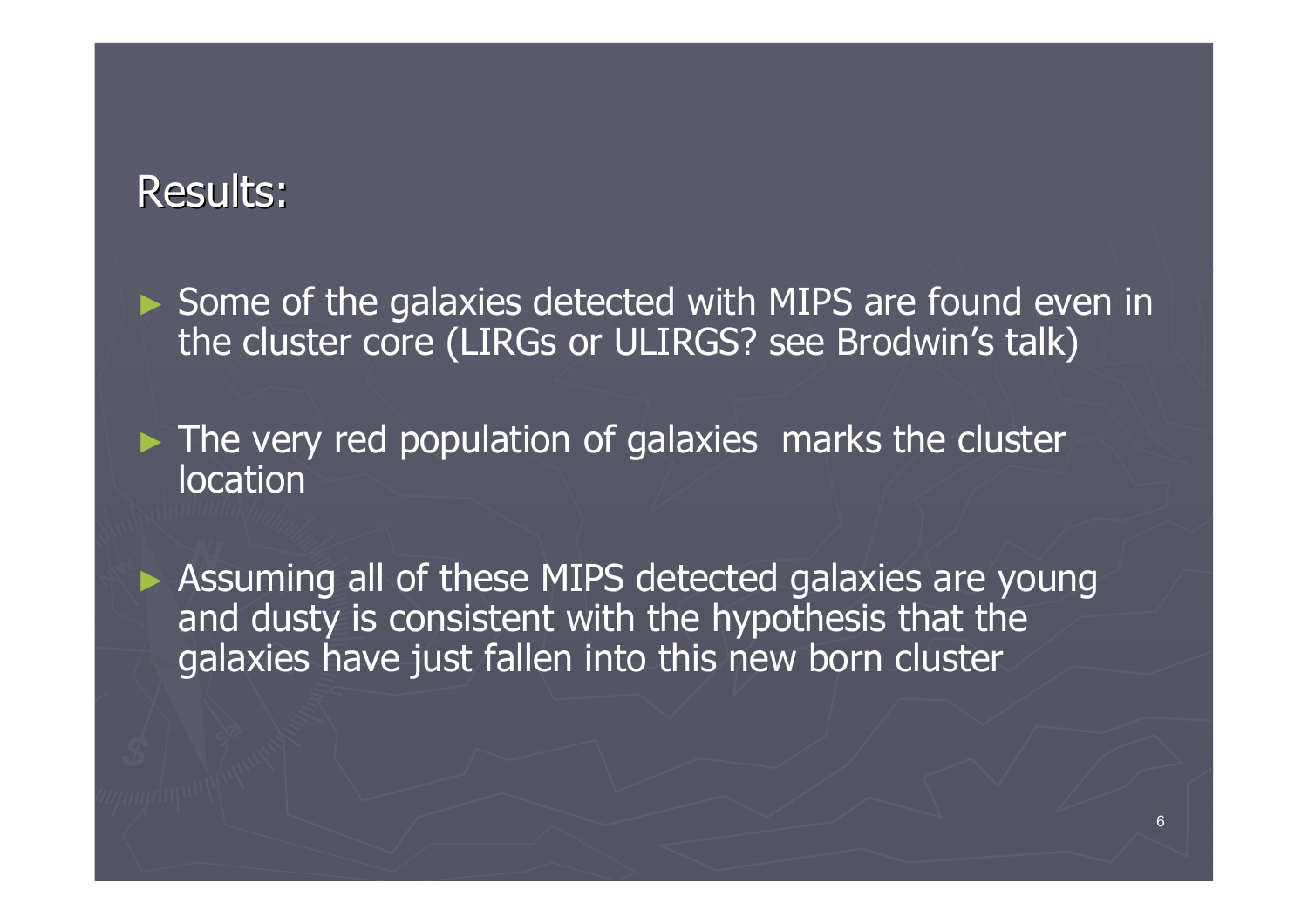#### Results:

► Some of the galaxies detected with MIPS are found even in<br>the cluster core (LIPCs or LILIPCS) see Brodwin's talk) the cluster core (LIRGs or ULIRGS? see Brodwin's talk)

► The very red population of galaxies marks the cluster location

► Assuming all of these MIPS detected galaxies are young and dusty is consistent with the hypothesis that the galaxies have just fallen into this new born cluster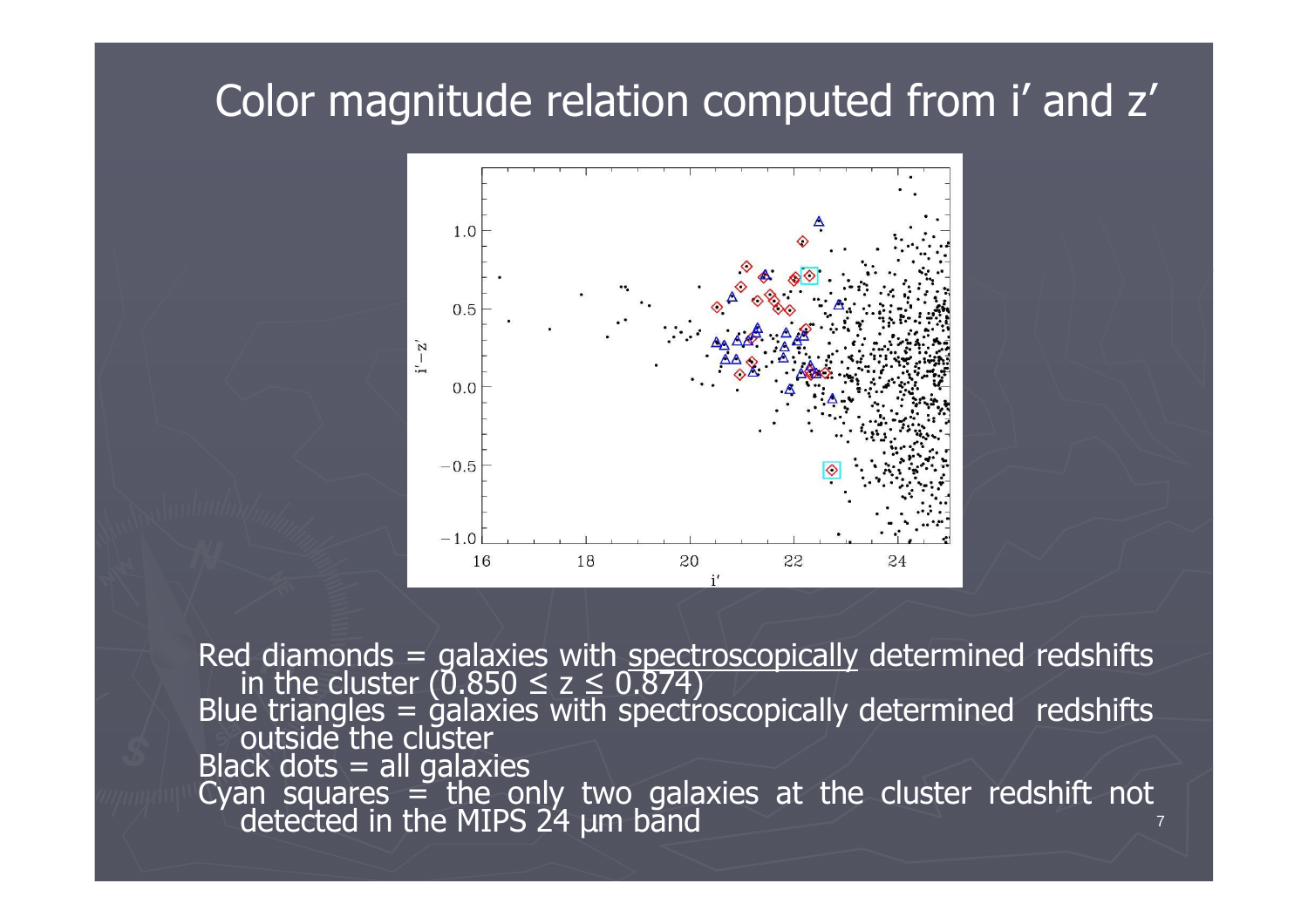#### Color magnitude relation computed from i' and z'



7 Red diamonds = galaxies with <u>spectroscopically</u> determined redshifts<br>in the cluster (0.850 ≤ z ≤ 0.874)<br>Blue triangles = galaxies with spectroscopically determined redshifts<br>outside the cluster Black dots = all galaxiesCyan squares = the only two galaxies at the cluster redshift not detected in the MIPS 24  $\mu$ m band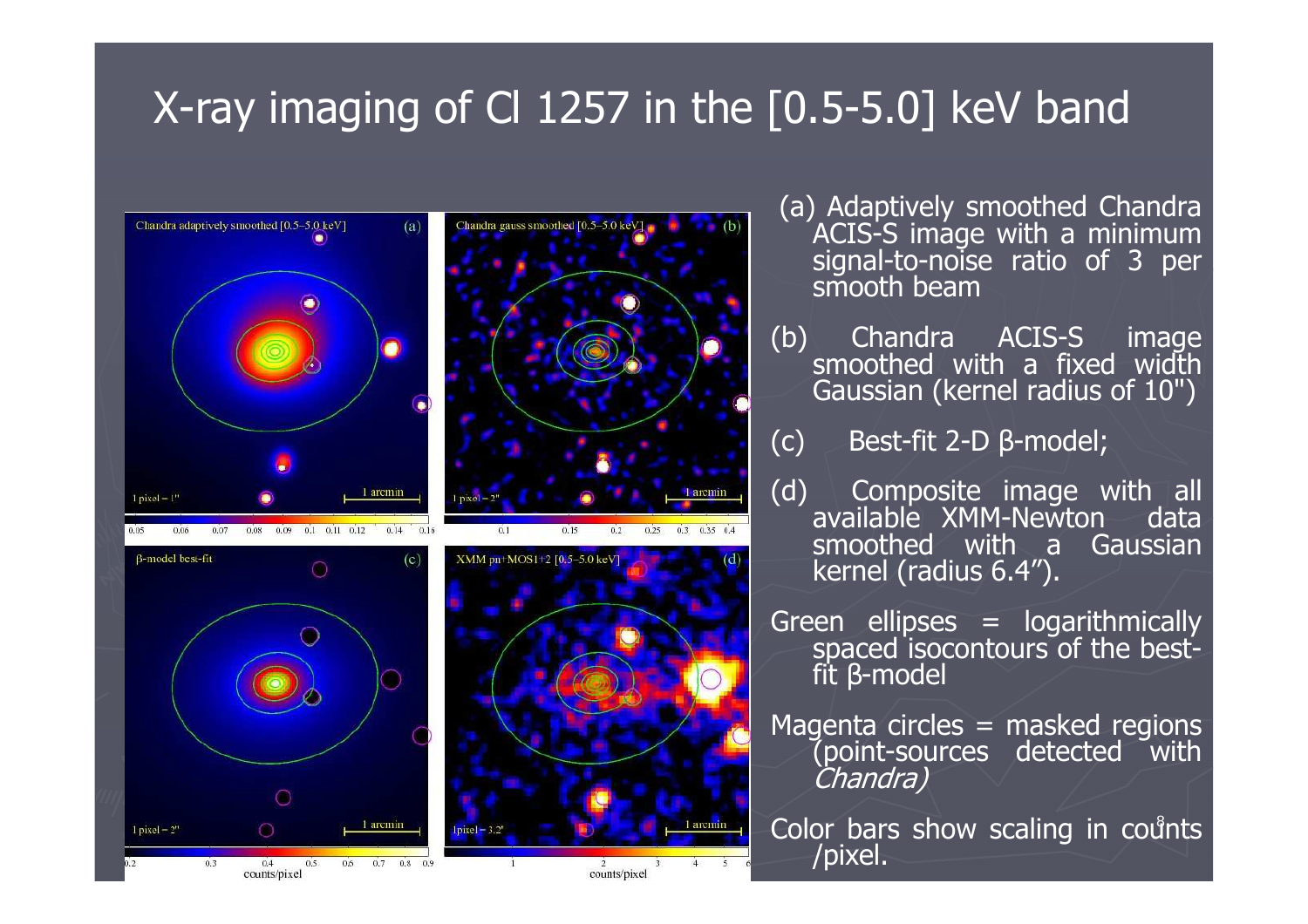#### X-ray imaging of Cl 1257 in the [0.5-5.0] keV band



- (a) Adaptively smoothed Chandra ACIS-S image with a minimum signal-to-noise ratio of 3 per smooth beam
- (b) Chandra ACIS-S image smoothed with a fixed width Gaussian (kernel radius of 10")
- (c) Best-fit 2-D β-model;
- (d) Composite image with all<br>available XMM-Newton data smoothed with a Gaussian kernel (radius 6.4").
- Green ellipses = logarithmically<br>spaced isocontours of the bestβ-model
- Magenta circles = masked regions (point-sources detected with Chandra)

န Color bars show scaling in counts<br>/pixel.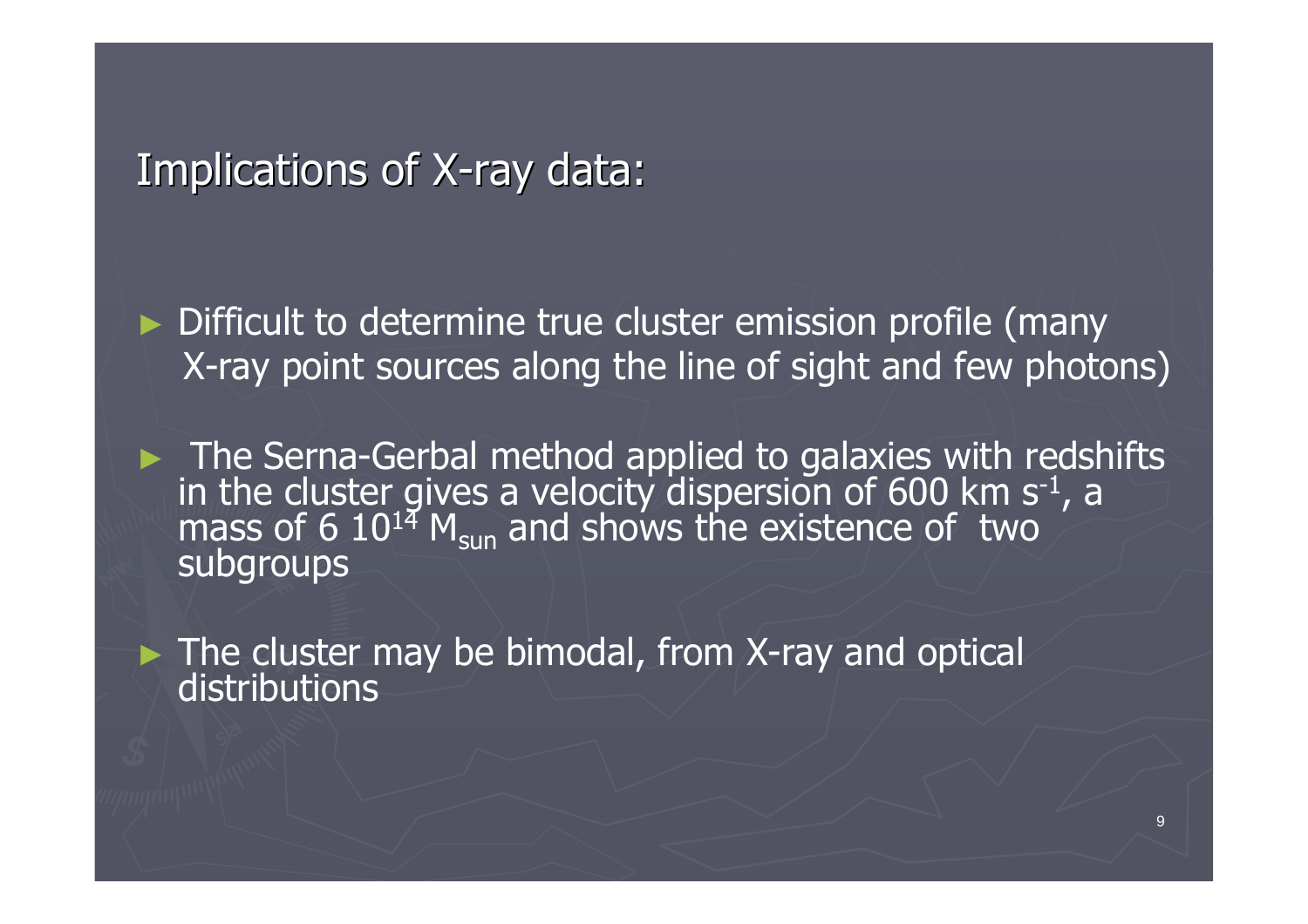#### Implications of X-ray data:

► Difficult to determine true cluster emission profile (many X-ray point sources along the line of sight and few photons)

► The Serna-Gerbal method applied to galaxies with redshifts in the cluster gives a velocity dispersion of 600 km s<sup>-1</sup>, a mass of 6 10<sup>14</sup> M<sub>sun</sub> and shows the existence of two subgroups

► The cluster may be bimodal, from X-ray and optical<br>Distributions distributions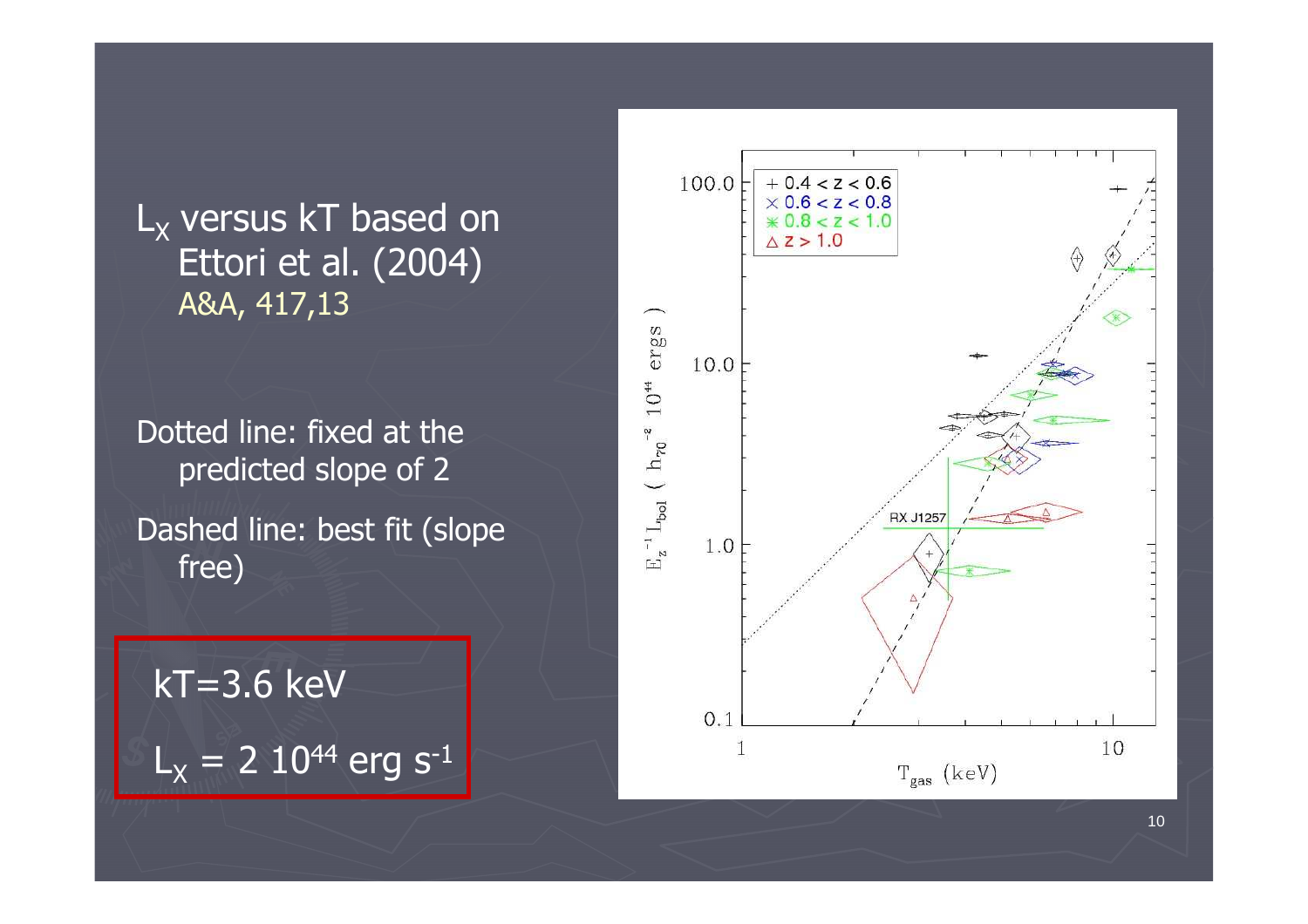L<sub>x</sub> versus kT based on<br>Fttori et al (2004) Ettori et al. (2004) A&A, 417,13

Dotted line: fixed at the predicted slope of 2

Dashed line: best fit (slope free)

kT=3.6 keV $L_{\chi}$  = 2 10<sup>44</sup> erg s<sup>-1</sup>

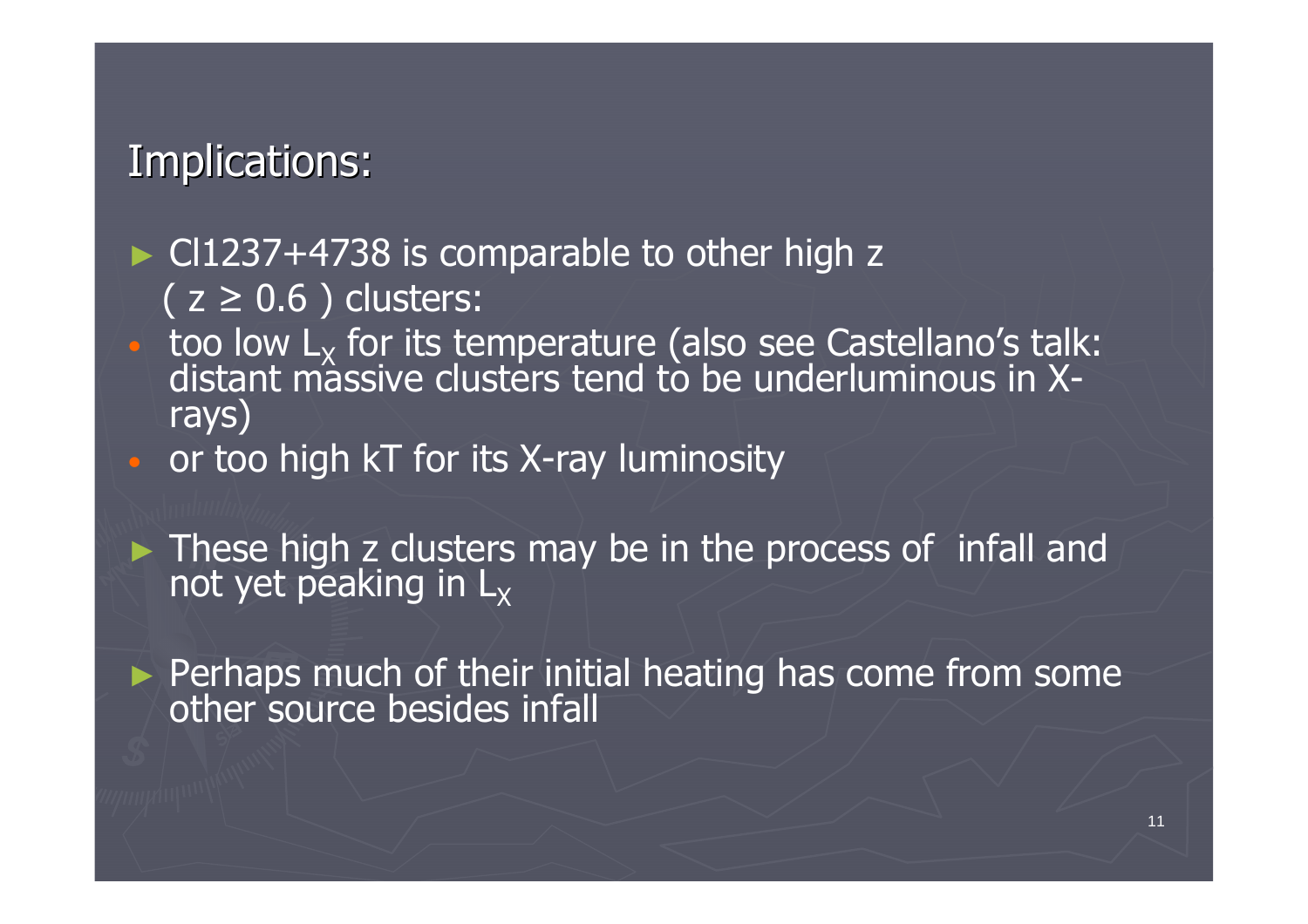#### Implications:

#### $\blacktriangleright$  Cl1237+4738 is comparable to other high z<br> $(7.5 \land 6)$  clusters:  $(z \geq 0.6)$  clusters:

- $\cap$  $\bullet$  too low  $L_X$ distant massive clusters tend to be underluminous in Xrays)
- $\Box$ or too high kT for its X-ray luminosity

► These high z clusters may be in the process of infall and not yet peaking in  $L_X$ 

► Perhaps much of their initial heating has come from some other source besides infall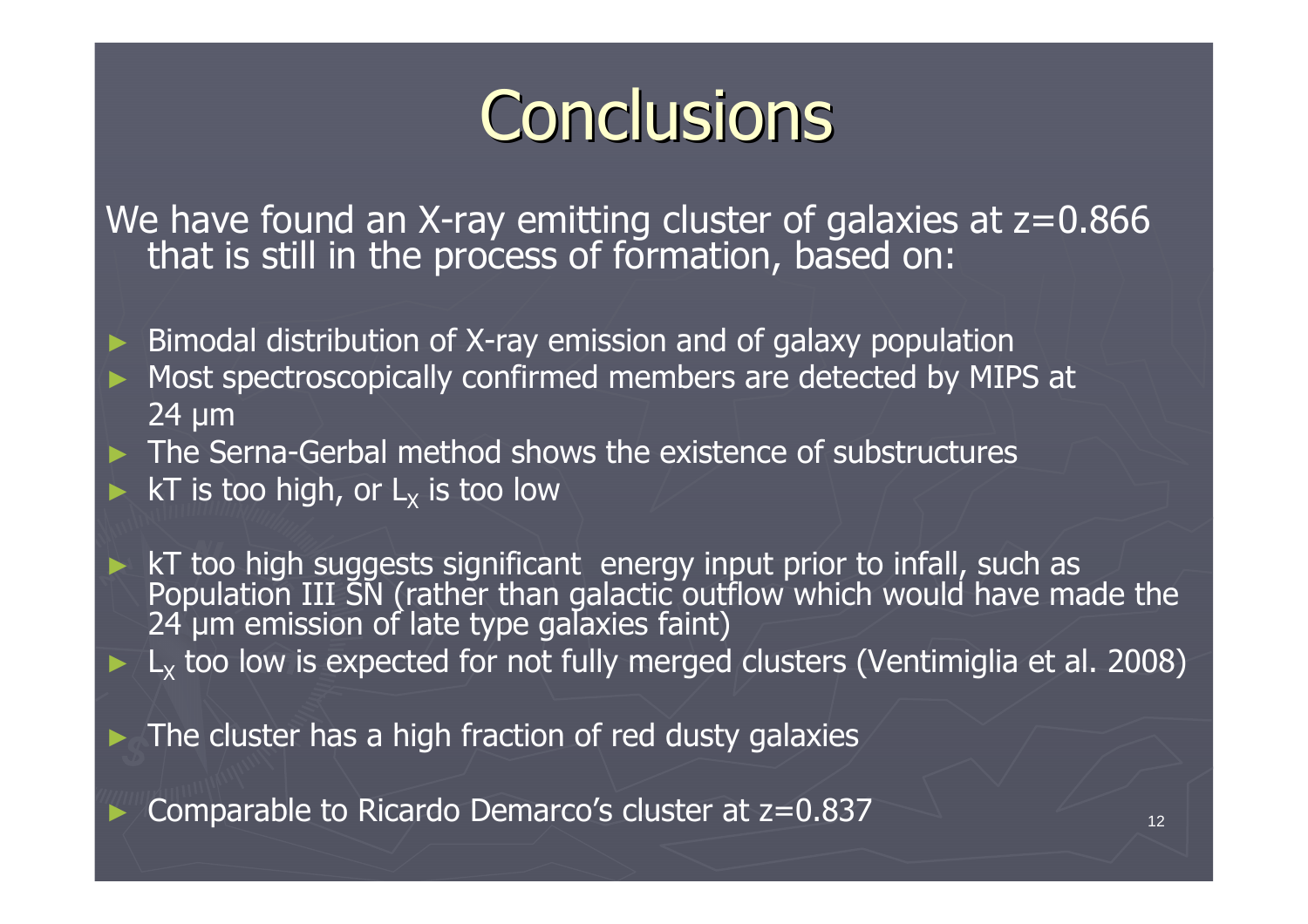# **Conclusions**

We have found an X-ray emitting cluster of galaxies at  $z=0.866$  that is still in the process of formation, based on:

► Bimodal distribution of X-ray emission and of galaxy population ► Most spectroscopically confirmed members are detected by MIPS at 24 µm

► The Serna-Gerbal method shows the existence of substructures<br>► kT is too high or Luis too low ► kT is too high, or  $L_x$  is too low

► kT too high suggests significant energy input prior to infall, such as<br>Population III SN (rather than galactic outflow which would have made the<br>24 µm emission of late type galaxies faint)  $\blacktriangleright$  L<sub>x</sub> too low is expected for not fully merged clusters (Ventimiglia et al. 2008)

► The cluster has a high fraction of red dusty galaxies

Comparable to Ricardo Demarco's cluster at z=0.837

►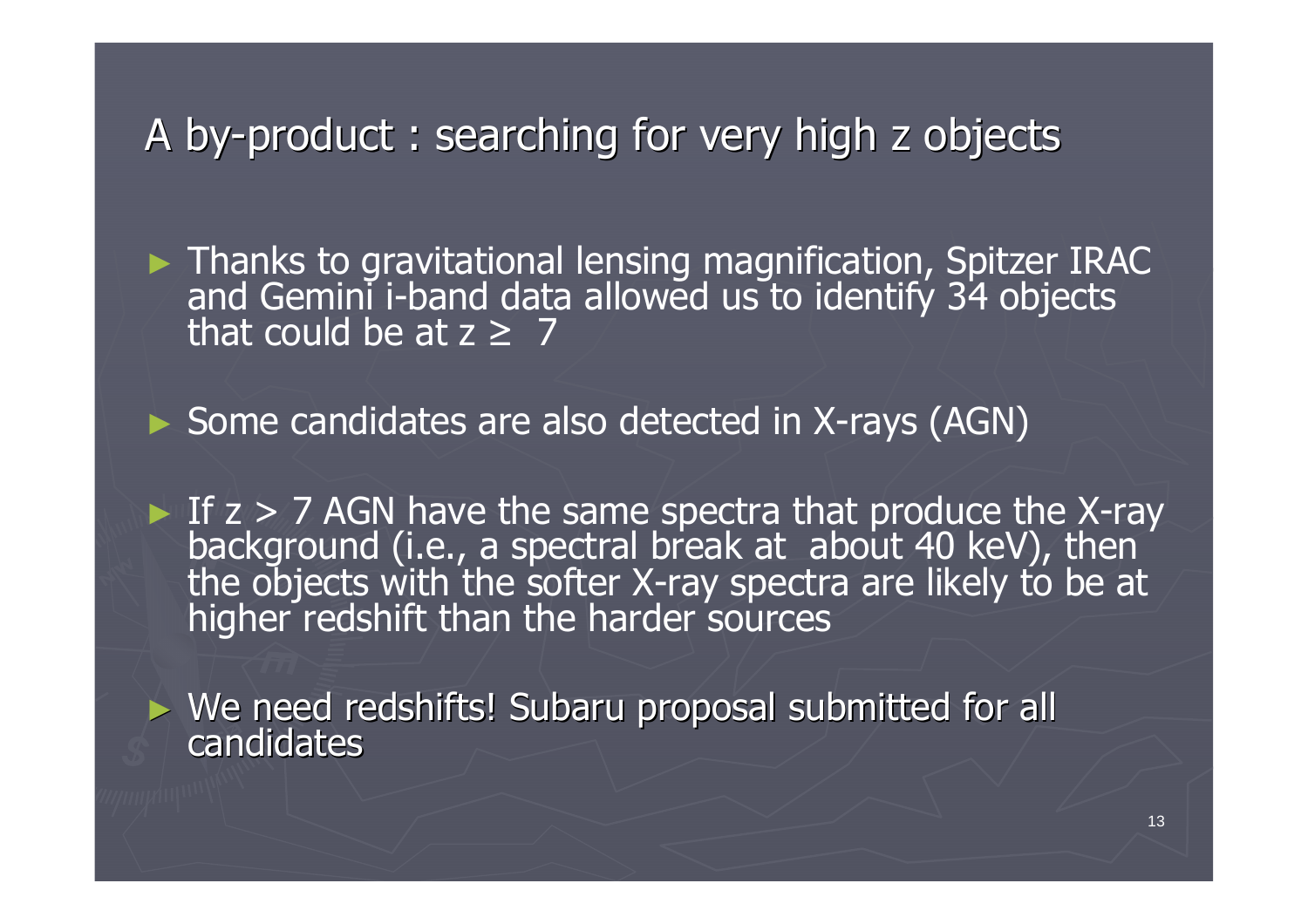### A by-product : searching for very high z objects

Thanks to gravitational lensing magnification, Spitzer IRAC and Gemini i-band data allowed us to identify 34 objects that could be at  $z \geq 7$ 

► Some candidates are also detected in X-rays (AGN)

► If  $z > 7$  AGN have the same spectra that produce the X-ray background (i.e., a spectral break at about 40 keV), then the objects with the softer X-ray spectra are likely to be at higher redshift than the harder sources

► We need redshifts! Subaru proposal submitted for all candidates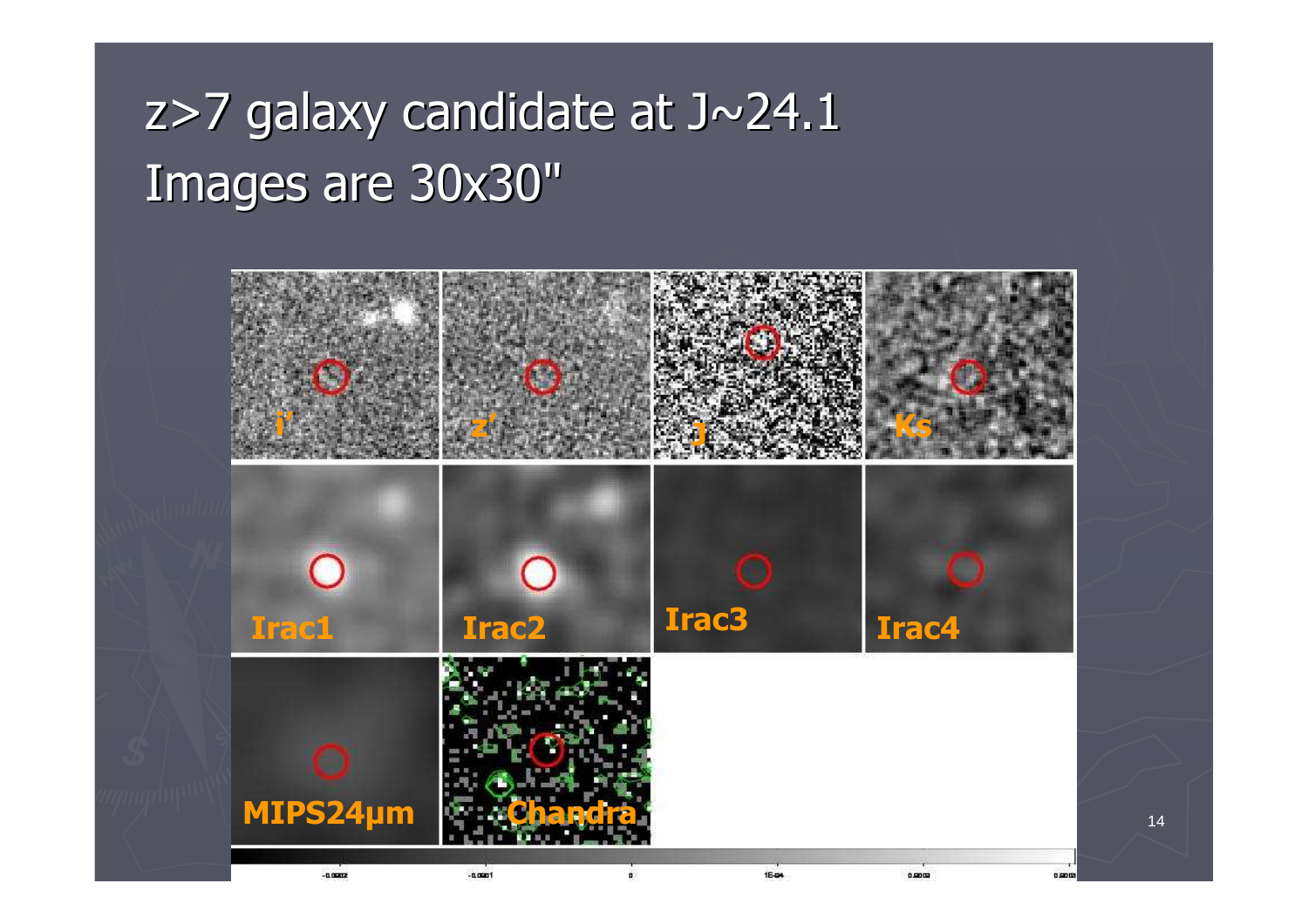### z>7 galaxy candidate at J $\sim$ 24.1 Images are 30x30"

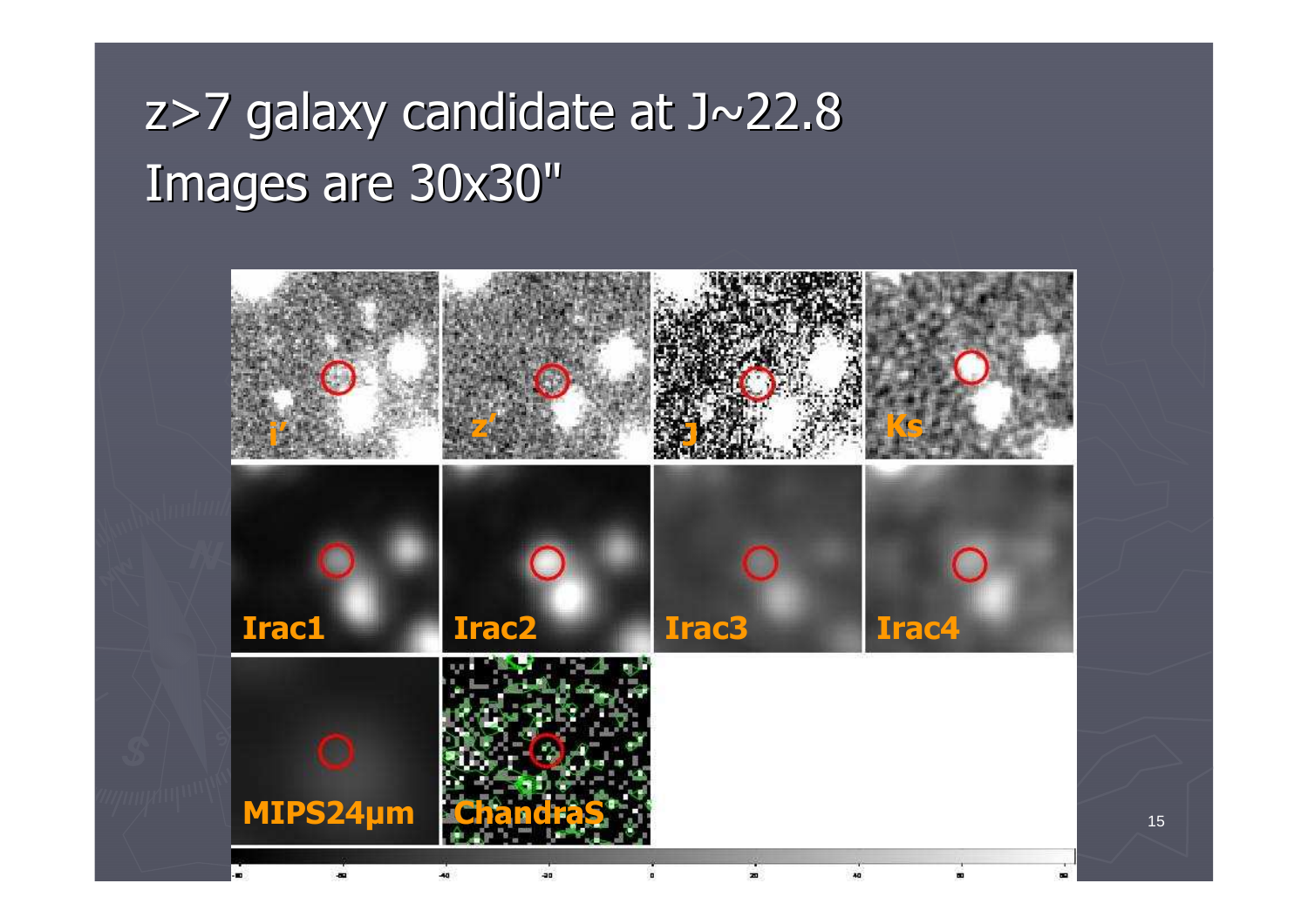### z>7 galaxy candidate at J $\sim$ 22.8 Images are 30x30"

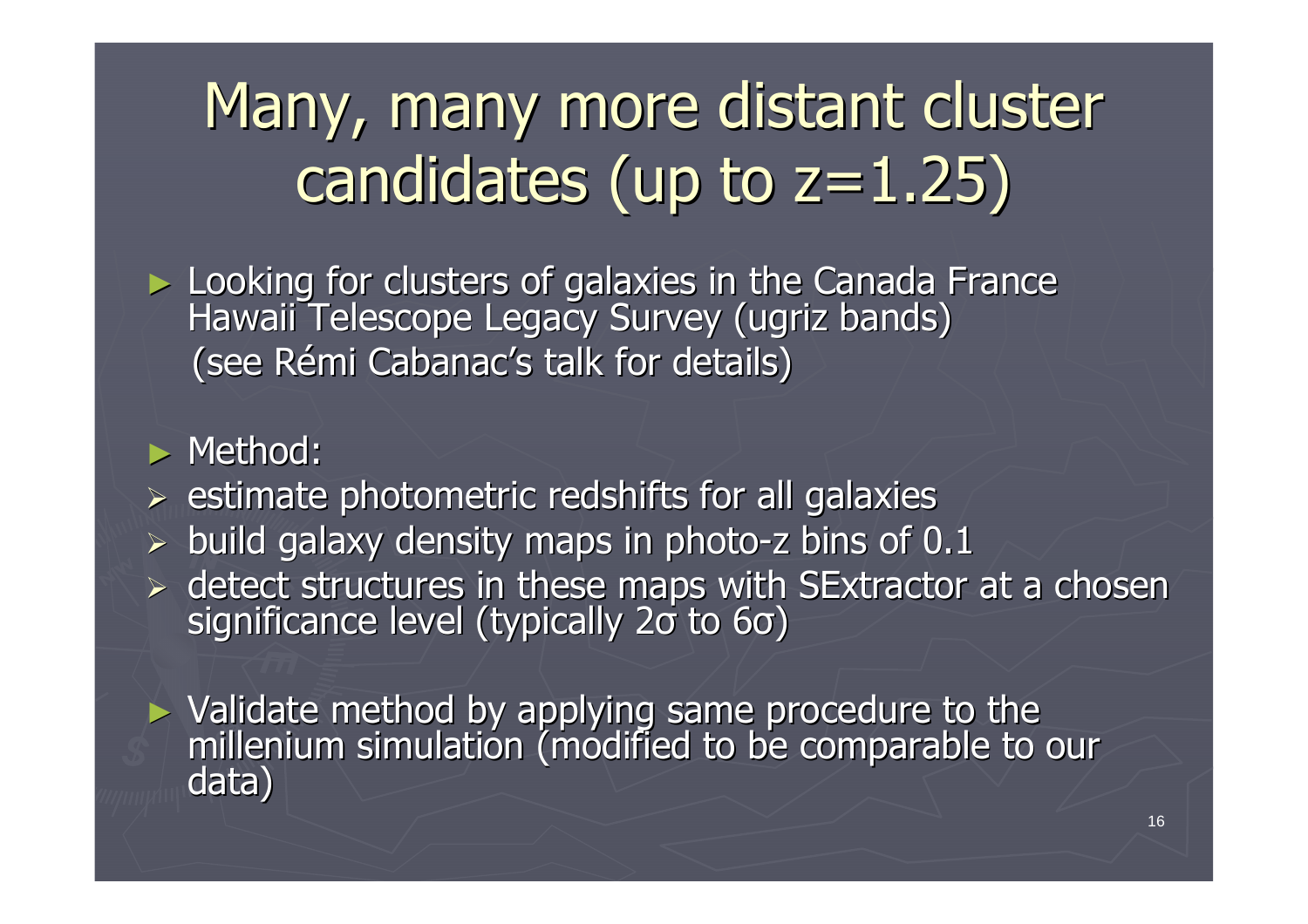# Many, many more distant cluster candidates (up to  $z=1.25$ )

► Looking for clusters of galaxies in the Canada France<br>Flawaii Telescone Legacy Survey (ugriz bands) Hawaii Telescope Legacy Survey (ugriz bands) (see Rémi Cabanac's talk for details)

### ► Method:

estimate photometric redshifts for all galaxies

- $\triangleright$  build galaxy density maps in photo-z bins of 0.1
- $\triangleright$  detect structures in these maps with SExtractor at a chosen significance level (typically 20 to 60) level (typically 2σ to 6σ)

► Validate method by applying same procedure to the millenium simulation (modifiedd to be comparable to our data)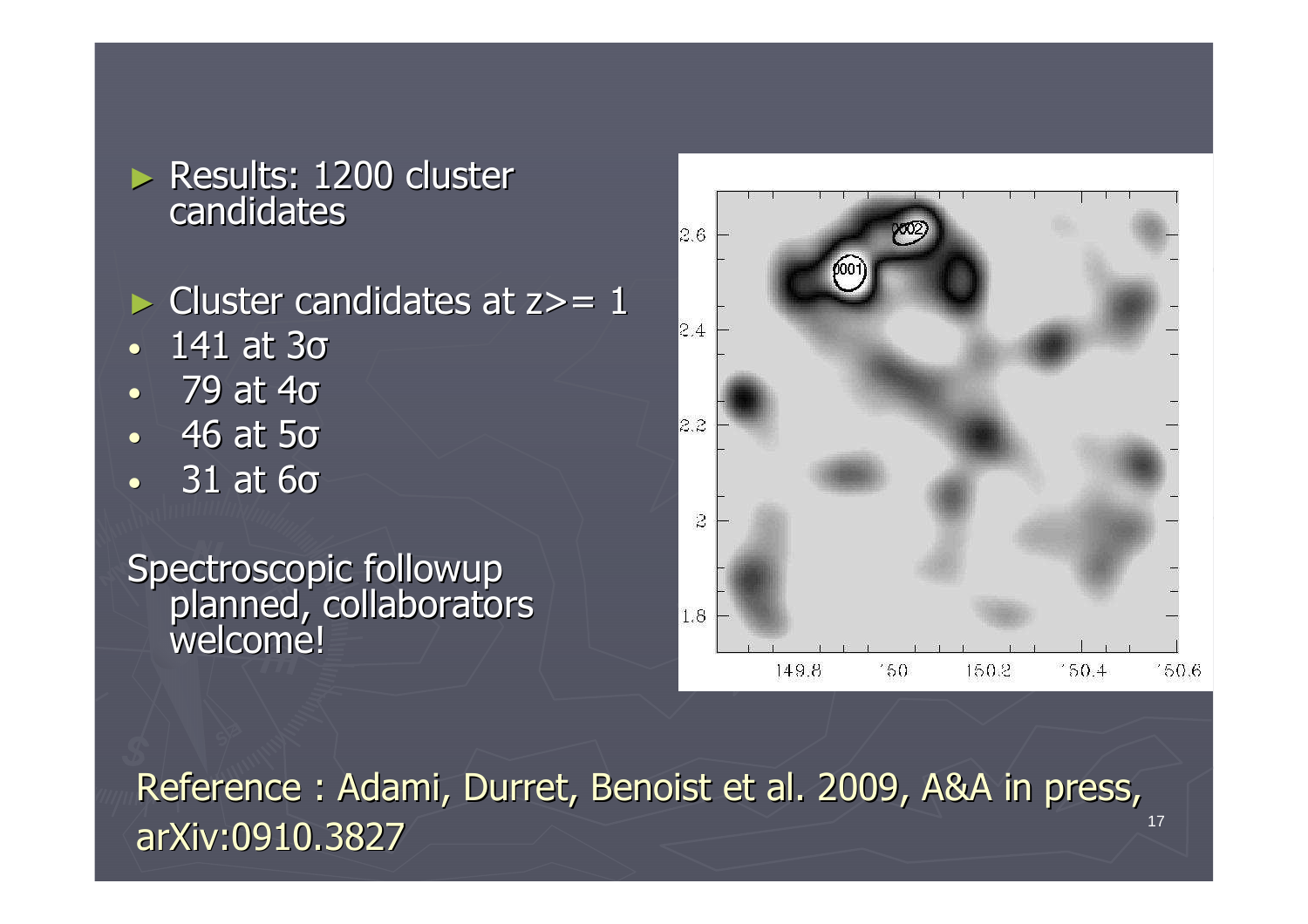► Results: 1200 cluster candidates

- $\triangleright$  Cluster candidates at  $z \geq 1$
- •141 at 3σ
- 79 at 4σ •
- 46 at 5σ •
- 31 at 6σ•

Spectroscopic followupplanned, collaboratorswelcome!



17

Reference : Adami, Durret, Benoist et al. 2009, A&A in press, arXiv:0910.3827